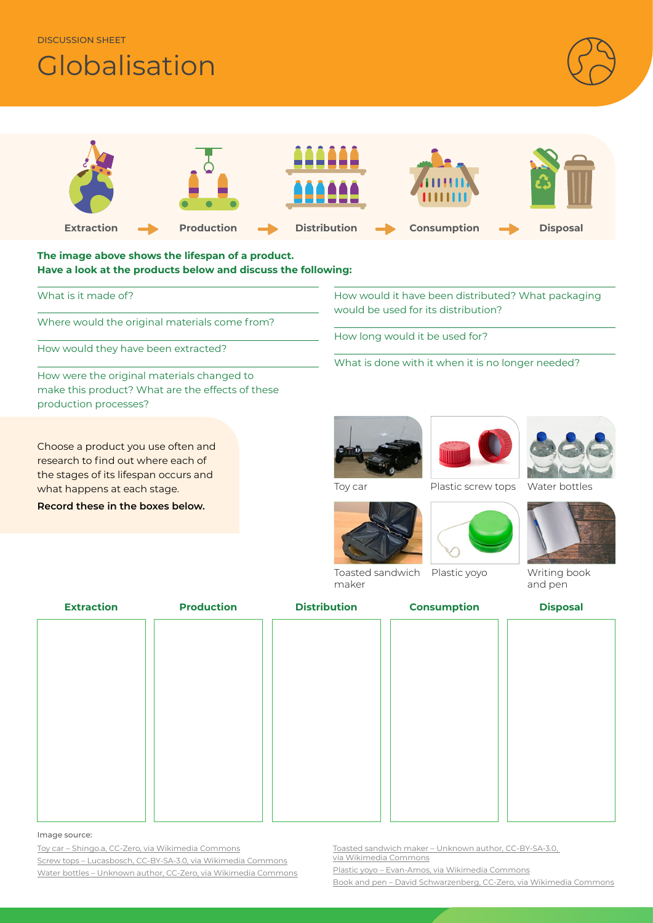DISCUSSION SHEET

# **Globalisation**





Image source:

Toy car – [Shingo.a, CC-Zero, via Wikimedia Commons](https://commons.wikimedia.org/wiki/File:Toy_rc_car.jpg) Screw tops – [Lucasbosch, CC-BY-SA-3.0, via Wikimedia Commons](https://commons.wikimedia.org/wiki/File:Duran_Group_GL45_thread_PBT_screw_caps_with_PTFE_coated_seal.jpg) Water bottles – [Unknown author, CC-Zero, via Wikimedia Commons](https://commons.wikimedia.org/wiki/File:Water_bottle_blue.jpg) Toasted sandwich maker – [Unknown author, CC-BY-SA-3.0,](https://commons.wikimedia.org/wiki/File:Sandwich_toaster_open.jpg)  [via Wikimedia Commons](https://commons.wikimedia.org/wiki/File:Sandwich_toaster_open.jpg)

Plastic yoyo – [Evan-Amos, via Wikimedia Commons](https://commons.wikimedia.org/wiki/File:Yo-Yo-Plastic-Toy-Green.jpg)

Book and pen [– David Schwarzenberg, CC-Zero, via Wikimedia Commons](https://commons.wikimedia.org/wiki/File:A_journal_writing_book.jpg)